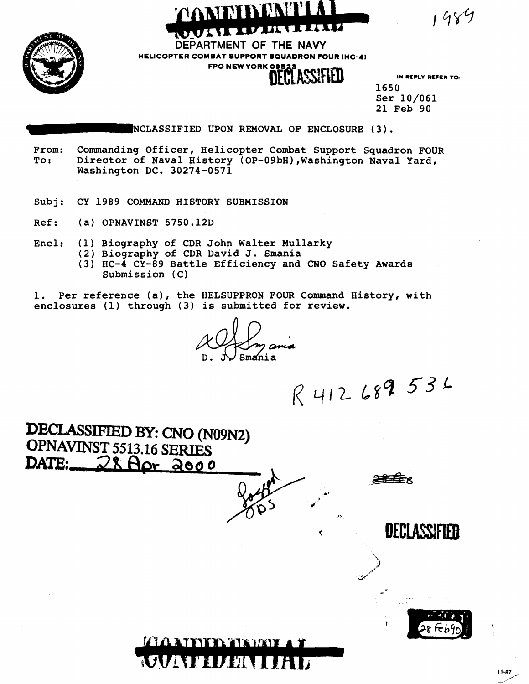

1989

DEPARTMENT OF THE NAVY HELICOPTER COMBAT SUPPORT SQUADRON FOUR **(HC-4)** 

**CAMERIANTIA** 

OUTTED BALLAND

## FPO NEW YORK 09523<br> **REPLY REPLY REFER TO:** IN REPLY REFER TO:

1650 Ser 10/061 21 Feb 90

NCLASSIFIED UPON REMOVAL OF ENCLOSURE (3).

From: Commanding Officer, Helicopter Combat Support Squadron FOUR<br>To: Director of Naval History (OP-09bH),Washington Naval Yard. Director of Naval History (OP-09bH), Washington Naval Yard, Washington DC. 30274-0571

- Subj: CY 1989 COMMAND HISTORY SUBMISSION
- Ref: (a) OPNAVINST 5750.12D
- Encl: (1) Biography of CDR John Walter Mullarky
	- (2) Biography of CDR David J. Smania
	- (3) HC-4 CY-89 Battle Efficiency and CNO Safety Awards Submission (C)

1. Per reference (a), the HELSUPPRON FOUR Command History, with enclosures **(1)** through **(3)** is submitted for review.

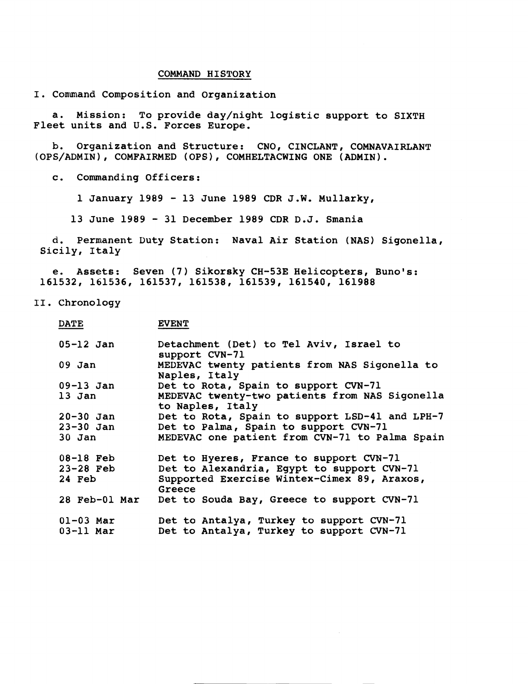## **COMMAND HISTORY**

**I. Command Composition and Organization** 

**a. Mission: To provide day/night logistic support to SIXTH Fleet units and U.S. Forces Europe.** 

**b. Organization and Structure: CNO, CINCLANT, COMNAVAIRLANT (OPS/ADMIN), COMFAIRMED (OPS), COMHELTACWING ONE (ADMIN).** 

**c. Commanding Officers:** 

**1 January 1989** - **13 June 1989 CDR J.W. Mullarky,** 

**13 June 1989** - **31 December 1989 CDR D.J. Smania** 

**d. Permanent Duty Station: Naval Air Station (NAS) Sigonella, Sicily, Italy** 

**e. Assets: Seven (7) Sikorsky CH-53E Helicopters, Buno's: 161532, 161536, 161537, 161538, 161539, 161540, 161988** 

**11. Chronology** 

| <b>DATE</b>   | <b>EVENT</b>                                                       |
|---------------|--------------------------------------------------------------------|
| 05-12 Jan     | Detachment (Det) to Tel Aviv, Israel to<br>support CVN-71          |
| $09$ Jan      | MEDEVAC twenty patients from NAS Sigonella to<br>Naples, Italy     |
| $09-13$ Jan   | Det to Rota, Spain to support CVN-71                               |
| 13 Jan        | MEDEVAC twenty-two patients from NAS Sigonella<br>to Naples, Italy |
| $20 - 30$ Jan | Det to Rota, Spain to support LSD-41 and LPH-7                     |
| 23-30 Jan     | Det to Palma, Spain to support CVN-71                              |
| $30$ Jan      | MEDEVAC one patient from CVN-71 to Palma Spain                     |
| $08-18$ Feb   | Det to Hyeres, France to support CVN-71                            |
| $23-28$ Feb   | Det to Alexandria, Egypt to support CVN-71                         |
| 24 Feb        | Supported Exercise Wintex-Cimex 89, Araxos,<br>Greece              |
| 28 Feb-01 Mar | Det to Souda Bay, Greece to support CVN-71                         |
| $01-03$ Mar   | Det to Antalya, Turkey to support CVN-71                           |
| $03-11$ Mar   | Det to Antalya, Turkey to support CVN-71                           |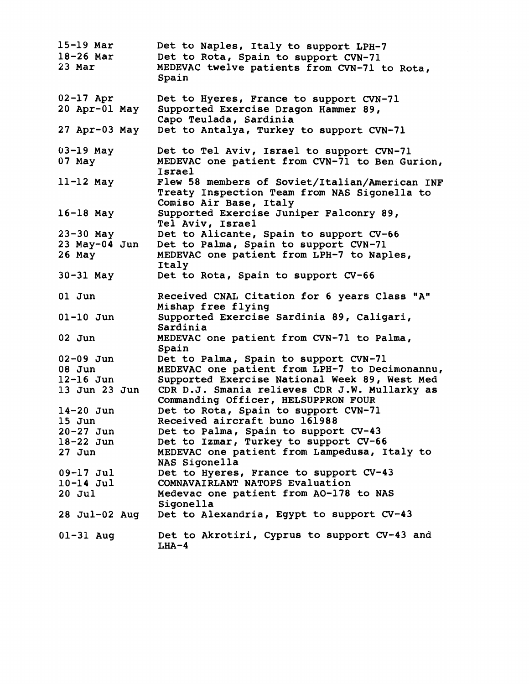| $15-19$ Mar<br>$18-26$ Mar<br>$23$ Mar | Det to Naples, Italy to support LPH-7<br>Det to Rota, Spain to support CVN-71<br>MEDEVAC twelve patients from CVN-71 to Rota,<br>Spain |
|----------------------------------------|----------------------------------------------------------------------------------------------------------------------------------------|
| $02-17$ Apr<br>20 Apr-01 May           | Det to Hyeres, France to support CVN-71<br>Supported Exercise Dragon Hammer 89,<br>Capo Teulada, Sardinia                              |
| $27$ Apr-03 May                        | Det to Antalya, Turkey to support CVN-71                                                                                               |
| $03-19$ May<br>07 May                  | Det to Tel Aviv, Israel to support CVN-71<br>MEDEVAC one patient from CVN-71 to Ben Gurion,<br>Israel                                  |
| $11-12$ May                            | Flew 58 members of Soviet/Italian/American INF<br>Treaty Inspection Team from NAS Sigonella to<br>Comiso Air Base, Italy               |
| $16-18$ May                            | Supported Exercise Juniper Falconry 89,<br>Tel Aviv, Israel                                                                            |
| $23 - 30$ May                          | Det to Alicante, Spain to support CV-66                                                                                                |
| 23 May-04 Jun                          | Det to Palma, Spain to support CVN-71                                                                                                  |
| 26 May                                 | MEDEVAC one patient from LPH-7 to Naples,<br>Italy                                                                                     |
| $30 - 31$ May                          | Det to Rota, Spain to support CV-66                                                                                                    |
| $01$ Jun                               | Received CNAL Citation for 6 years Class "A"<br>Mishap free flying                                                                     |
| $01-10$ Jun                            | Supported Exercise Sardinia 89, Caligari,<br>Sardinia                                                                                  |
| $02$ Jun                               | MEDEVAC one patient from CVN-71 to Palma,<br>Spain                                                                                     |
| $02 - 09$ Jun                          | Det to Palma, Spain to support CVN-71                                                                                                  |
| 08 Jun                                 | MEDEVAC one patient from LPH-7 to Decimonannu,                                                                                         |
| $12-16$ Jun                            | Supported Exercise National Week 89, West Med                                                                                          |
| 13 Jun 23 Jun                          | CDR D.J. Smania relieves CDR J.W. Mullarky as<br>Commanding Officer, HELSUPPRON FOUR                                                   |
| $14-20$ Jun                            | Det to Rota, Spain to support CVN-71                                                                                                   |
| $15$ Jun                               | Received aircraft buno 161988                                                                                                          |
| $20 - 27$ Jun                          | Det to Palma, Spain to support CV-43                                                                                                   |
| $18-22$ Jun                            | Det to Izmar, Turkey to support CV-66                                                                                                  |
| $27$ Jun                               | MEDEVAC one patient from Lampedusa, Italy to<br>NAS Sigonella                                                                          |
| $09-17$ Jul                            | Det to Hyeres, France to support CV-43                                                                                                 |
| $10-14$ Jul                            | COMNAVAIRLANT NATOPS Evaluation                                                                                                        |
| $20$ Jul                               | Medevac one patient from AO-178 to NAS<br>Sigonella                                                                                    |
| 28 Jul-02 Aug                          | Det to Alexandria, Egypt to support CV-43                                                                                              |
| $01-31$ Aug                            | Det to Akrotiri, Cyprus to support CV-43 and<br>$LHA-4$                                                                                |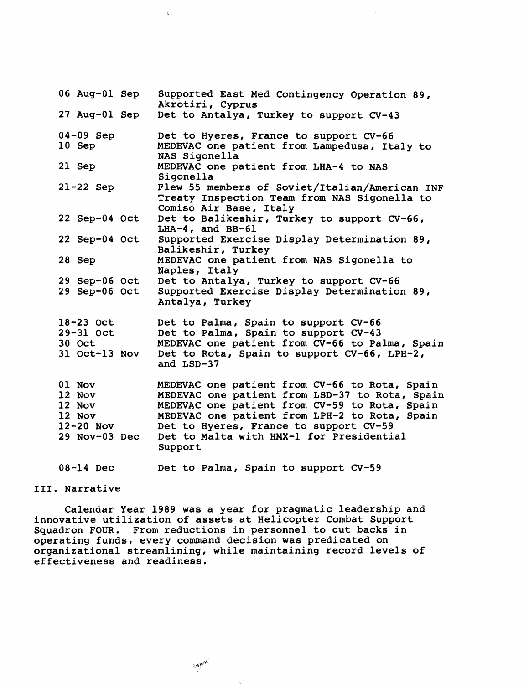| 06 Aug-01 Sep                                                        | Supported East Med Contingency Operation 89,<br>Akrotiri, Cyprus                                                                                                                                                                                                                                   |
|----------------------------------------------------------------------|----------------------------------------------------------------------------------------------------------------------------------------------------------------------------------------------------------------------------------------------------------------------------------------------------|
| 27 Aug-01 Sep                                                        | Det to Antalya, Turkey to support CV-43                                                                                                                                                                                                                                                            |
| $04-09$ Sep<br>$10$ Sep                                              | Det to Hyeres, France to support CV-66<br>MEDEVAC one patient from Lampedusa, Italy to<br>NAS Sigonella                                                                                                                                                                                            |
| 21 Sep                                                               | MEDEVAC one patient from LHA-4 to NAS<br>Sigonella                                                                                                                                                                                                                                                 |
| $21-22$ Sep                                                          | Flew 55 members of Soviet/Italian/American INF<br>Treaty Inspection Team from NAS Sigonella to<br>Comiso Air Base, Italy                                                                                                                                                                           |
| 22 Sep-04 Oct                                                        | Det to Balikeshir, Turkey to support CV-66,<br>LHA-4, and $BB-61$                                                                                                                                                                                                                                  |
| 22 Sep-04 Oct                                                        | Supported Exercise Display Determination 89,<br>Balikeshir, Turkey                                                                                                                                                                                                                                 |
| $28$ Sep                                                             | MEDEVAC one patient from NAS Sigonella to<br>Naples, Italy                                                                                                                                                                                                                                         |
| 29 Sep-06 Oct<br>29 Sep-06 Oct                                       | Det to Antalya, Turkey to support CV-66<br>Supported Exercise Display Determination 89,<br>Antalya, Turkey                                                                                                                                                                                         |
| $18-23$ Oct<br>29-31 Oct<br>30 Oct<br>31 Oct-13 Nov                  | Det to Palma, Spain to support CV-66<br>Det to Palma, Spain to support CV-43<br>MEDEVAC one patient from CV-66 to Palma, Spain<br>Det to Rota, Spain to support CV-66, LPH-2,<br>and LSD-37                                                                                                        |
| 01 Nov<br>12 Nov<br>12 Nov<br>12 Nov<br>$12-20$ Nov<br>29 Nov-03 Dec | MEDEVAC one patient from CV-66 to Rota, Spain<br>MEDEVAC one patient from LSD-37 to Rota, Spain<br>MEDEVAC one patient from CV-59 to Rota, Spain<br>MEDEVAC one patient from LPH-2 to Rota, Spain<br>Det to Hyeres, France to support CV-59<br>Det to Malta with HMX-1 for Presidential<br>Support |
| 08-14 Dec                                                            | Det to Palma, Spain to support CV-59                                                                                                                                                                                                                                                               |

 $\mathbf{g}_{\mathrm{out}}$ 

## **111. Narrative**

**Calendar Year 1989 was a year for pragmatic leadership and innovative utilization of assets at Helicopter Combat Support Squadron FOUR. From reductions in personnel to cut backs in operating funds, every command decision was predicated on organizational streamlining, while maintaining record levels of effectiveness and readiness.** 

 $\mathcal{D}^{\mathcal{P}^{(t)}}$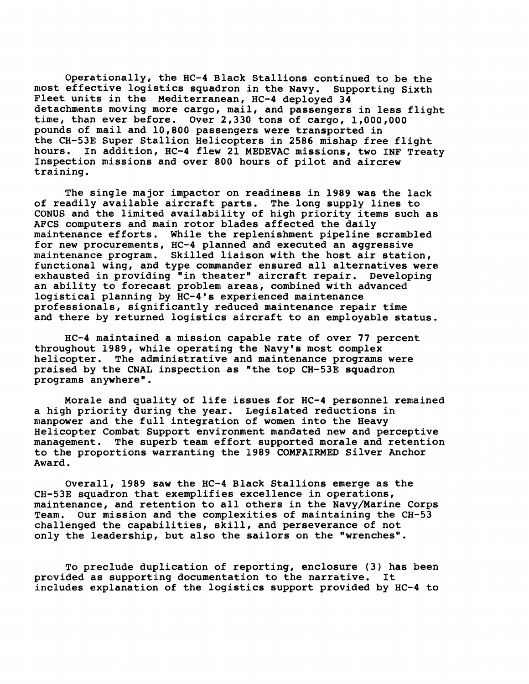Operationally, the HC-4 Black Stallions continued to be the most effective logistics squadron in the Navy. Supporting Sixth Fleet units in the Mediterranean, HC-4 deployed 34 detachments moving more cargo, mail, and passengers in less flight time, than ever before. Over 2,330 tons of cargo, 1,000,000 pounds of mail and 10,800 passengers were transported in the CH-53E Super Stallion Helicopters in 2586 mishap free flight hours. In addition, HC-4 flew 21 MEDEVAC missions, two INF Treaty Inspection missions and over 800 hours of pilot and aircrew training.

The single major impactor on readiness in 1989 was the lack of readily available aircraft parts. The long supply lines to CONUS and the limited availability of high priority items such as AFCS computers and main rotor blades affected the daily maintenance efforts. While the replenishment pipeline scrambled for new procurements, HC-4 planned and executed an aggressive maintenance program. Skilled liaison with the host air station, functional wing, and type commander ensured all alternatives were exhausted in providing  $\overline{u}$  in theater" aircraft repair. Developing an ability to forecast problem areas, combined with advanced logistical planning by HC-4's experienced maintenance professionals, significantly reduced maintenance repair time and there by returned logistics aircraft to an employable status.

HC-4 maintained a mission capable rate of over 77 percent throughout 1989, while operating the Navy's most complex helicopter. The administrative and maintenance programs were praised by the CNAL inspection as "the top CH-53E squadron programs anywhere".

Morale and quality of life issues for HC-4 personnel remained a high priority during the year. Legislated reductions in manpower and the full integration of women into the Heavy Helicopter Combat Support environment mandated new and perceptive management. The superb team effort supported morale and retention to the proportions warranting the 1989 COMFAIRMED Silver Anchor Award.

Overall, 1989 saw the HC-4 Black Stallions emerge as the  $CH-53E$  squadron that exemplifies excellence in operations, maintenance, and retention to all others in the Navy/Marine Corps Team. Our mission and the complexities of maintaining the CH-53 challenged the capabilities, skill, and perseverance of not only the leadership, but also the sailors on the "wrenches".

To preclude duplication of reporting, enclosure (3) has been provided as supporting documentation to the narrative. It includes explanation of the logistics support provided by HC-4 to